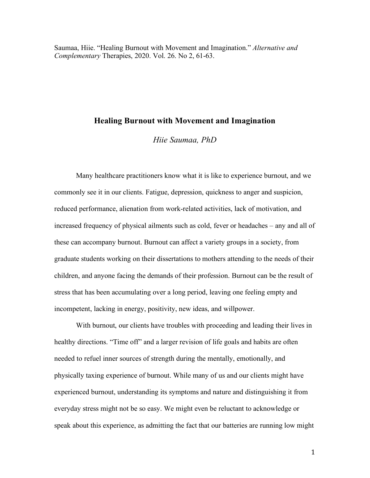Saumaa, Hiie. "Healing Burnout with Movement and Imagination." *Alternative and Complementary* Therapies, 2020. Vol. 26. No 2, 61-63.

# **Healing Burnout with Movement and Imagination**

*Hiie Saumaa, PhD* 

Many healthcare practitioners know what it is like to experience burnout, and we commonly see it in our clients. Fatigue, depression, quickness to anger and suspicion, reduced performance, alienation from work-related activities, lack of motivation, and increased frequency of physical ailments such as cold, fever or headaches – any and all of these can accompany burnout. Burnout can affect a variety groups in a society, from graduate students working on their dissertations to mothers attending to the needs of their children, and anyone facing the demands of their profession. Burnout can be the result of stress that has been accumulating over a long period, leaving one feeling empty and incompetent, lacking in energy, positivity, new ideas, and willpower.

With burnout, our clients have troubles with proceeding and leading their lives in healthy directions. "Time off" and a larger revision of life goals and habits are often needed to refuel inner sources of strength during the mentally, emotionally, and physically taxing experience of burnout. While many of us and our clients might have experienced burnout, understanding its symptoms and nature and distinguishing it from everyday stress might not be so easy. We might even be reluctant to acknowledge or speak about this experience, as admitting the fact that our batteries are running low might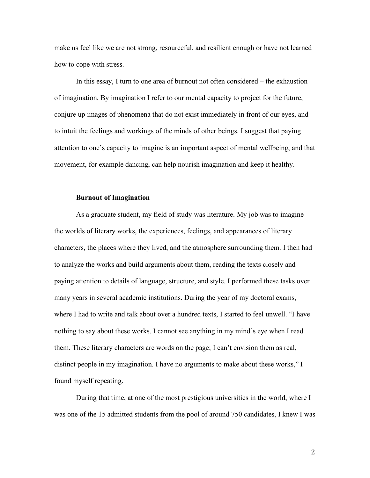make us feel like we are not strong, resourceful, and resilient enough or have not learned how to cope with stress.

In this essay, I turn to one area of burnout not often considered – the exhaustion of imagination. By imagination I refer to our mental capacity to project for the future, conjure up images of phenomena that do not exist immediately in front of our eyes, and to intuit the feelings and workings of the minds of other beings. I suggest that paying attention to one's capacity to imagine is an important aspect of mental wellbeing, and that movement, for example dancing, can help nourish imagination and keep it healthy.

#### **Burnout of Imagination**

As a graduate student, my field of study was literature. My job was to imagine – the worlds of literary works, the experiences, feelings, and appearances of literary characters, the places where they lived, and the atmosphere surrounding them. I then had to analyze the works and build arguments about them, reading the texts closely and paying attention to details of language, structure, and style. I performed these tasks over many years in several academic institutions. During the year of my doctoral exams, where I had to write and talk about over a hundred texts, I started to feel unwell. "I have nothing to say about these works. I cannot see anything in my mind's eye when I read them. These literary characters are words on the page; I can't envision them as real, distinct people in my imagination. I have no arguments to make about these works," I found myself repeating.

During that time, at one of the most prestigious universities in the world, where I was one of the 15 admitted students from the pool of around 750 candidates, I knew I was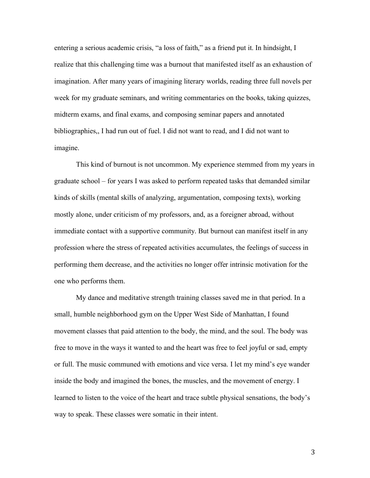entering a serious academic crisis, "a loss of faith," as a friend put it. In hindsight, I realize that this challenging time was a burnout that manifested itself as an exhaustion of imagination. After many years of imagining literary worlds, reading three full novels per week for my graduate seminars, and writing commentaries on the books, taking quizzes, midterm exams, and final exams, and composing seminar papers and annotated bibliographies,, I had run out of fuel. I did not want to read, and I did not want to imagine.

This kind of burnout is not uncommon. My experience stemmed from my years in graduate school – for years I was asked to perform repeated tasks that demanded similar kinds of skills (mental skills of analyzing, argumentation, composing texts), working mostly alone, under criticism of my professors, and, as a foreigner abroad, without immediate contact with a supportive community. But burnout can manifest itself in any profession where the stress of repeated activities accumulates, the feelings of success in performing them decrease, and the activities no longer offer intrinsic motivation for the one who performs them.

My dance and meditative strength training classes saved me in that period. In a small, humble neighborhood gym on the Upper West Side of Manhattan, I found movement classes that paid attention to the body, the mind, and the soul. The body was free to move in the ways it wanted to and the heart was free to feel joyful or sad, empty or full. The music communed with emotions and vice versa. I let my mind's eye wander inside the body and imagined the bones, the muscles, and the movement of energy. I learned to listen to the voice of the heart and trace subtle physical sensations, the body's way to speak. These classes were somatic in their intent.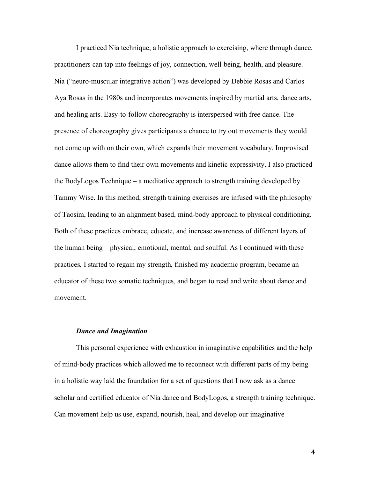I practiced Nia technique, a holistic approach to exercising, where through dance, practitioners can tap into feelings of joy, connection, well-being, health, and pleasure. Nia ("neuro-muscular integrative action") was developed by Debbie Rosas and Carlos Aya Rosas in the 1980s and incorporates movements inspired by martial arts, dance arts, and healing arts. Easy-to-follow choreography is interspersed with free dance. The presence of choreography gives participants a chance to try out movements they would not come up with on their own, which expands their movement vocabulary. Improvised dance allows them to find their own movements and kinetic expressivity. I also practiced the BodyLogos Technique – a meditative approach to strength training developed by Tammy Wise. In this method, strength training exercises are infused with the philosophy of Taosim, leading to an alignment based, mind-body approach to physical conditioning. Both of these practices embrace, educate, and increase awareness of different layers of the human being – physical, emotional, mental, and soulful. As I continued with these practices, I started to regain my strength, finished my academic program, became an educator of these two somatic techniques, and began to read and write about dance and movement.

## *Dance and Imagination*

This personal experience with exhaustion in imaginative capabilities and the help of mind-body practices which allowed me to reconnect with different parts of my being in a holistic way laid the foundation for a set of questions that I now ask as a dance scholar and certified educator of Nia dance and BodyLogos, a strength training technique. Can movement help us use, expand, nourish, heal, and develop our imaginative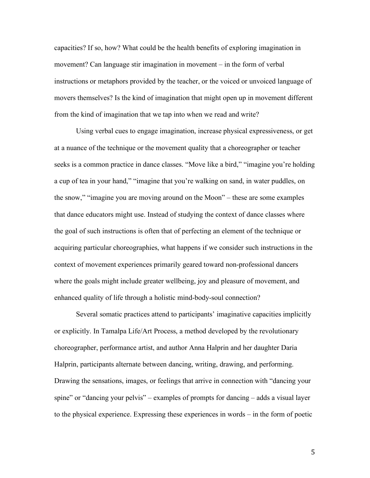capacities? If so, how? What could be the health benefits of exploring imagination in movement? Can language stir imagination in movement – in the form of verbal instructions or metaphors provided by the teacher, or the voiced or unvoiced language of movers themselves? Is the kind of imagination that might open up in movement different from the kind of imagination that we tap into when we read and write?

Using verbal cues to engage imagination, increase physical expressiveness, or get at a nuance of the technique or the movement quality that a choreographer or teacher seeks is a common practice in dance classes. "Move like a bird," "imagine you're holding a cup of tea in your hand," "imagine that you're walking on sand, in water puddles, on the snow," "imagine you are moving around on the Moon" – these are some examples that dance educators might use. Instead of studying the context of dance classes where the goal of such instructions is often that of perfecting an element of the technique or acquiring particular choreographies, what happens if we consider such instructions in the context of movement experiences primarily geared toward non-professional dancers where the goals might include greater wellbeing, joy and pleasure of movement, and enhanced quality of life through a holistic mind-body-soul connection?

Several somatic practices attend to participants' imaginative capacities implicitly or explicitly. In Tamalpa Life/Art Process, a method developed by the revolutionary choreographer, performance artist, and author Anna Halprin and her daughter Daria Halprin, participants alternate between dancing, writing, drawing, and performing. Drawing the sensations, images, or feelings that arrive in connection with "dancing your spine" or "dancing your pelvis" – examples of prompts for dancing – adds a visual layer to the physical experience. Expressing these experiences in words – in the form of poetic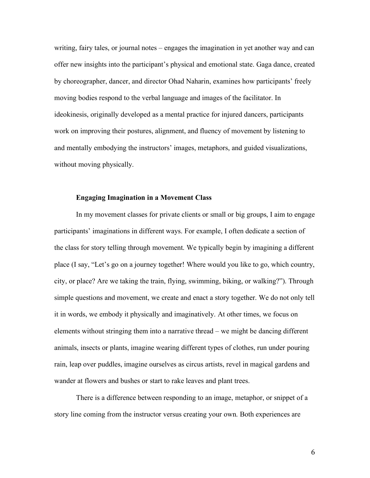writing, fairy tales, or journal notes – engages the imagination in yet another way and can offer new insights into the participant's physical and emotional state. Gaga dance, created by choreographer, dancer, and director Ohad Naharin, examines how participants' freely moving bodies respond to the verbal language and images of the facilitator. In ideokinesis, originally developed as a mental practice for injured dancers, participants work on improving their postures, alignment, and fluency of movement by listening to and mentally embodying the instructors' images, metaphors, and guided visualizations, without moving physically.

## **Engaging Imagination in a Movement Class**

In my movement classes for private clients or small or big groups, I aim to engage participants' imaginations in different ways. For example, I often dedicate a section of the class for story telling through movement. We typically begin by imagining a different place (I say, "Let's go on a journey together! Where would you like to go, which country, city, or place? Are we taking the train, flying, swimming, biking, or walking?"). Through simple questions and movement, we create and enact a story together. We do not only tell it in words, we embody it physically and imaginatively. At other times, we focus on elements without stringing them into a narrative thread – we might be dancing different animals, insects or plants, imagine wearing different types of clothes, run under pouring rain, leap over puddles, imagine ourselves as circus artists, revel in magical gardens and wander at flowers and bushes or start to rake leaves and plant trees.

There is a difference between responding to an image, metaphor, or snippet of a story line coming from the instructor versus creating your own. Both experiences are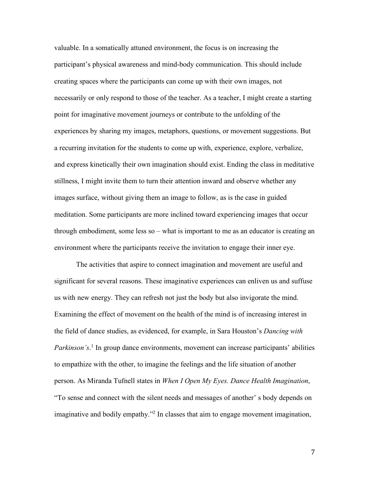valuable. In a somatically attuned environment, the focus is on increasing the participant's physical awareness and mind-body communication. This should include creating spaces where the participants can come up with their own images, not necessarily or only respond to those of the teacher. As a teacher, I might create a starting point for imaginative movement journeys or contribute to the unfolding of the experiences by sharing my images, metaphors, questions, or movement suggestions. But a recurring invitation for the students to come up with, experience, explore, verbalize, and express kinetically their own imagination should exist. Ending the class in meditative stillness, I might invite them to turn their attention inward and observe whether any images surface, without giving them an image to follow, as is the case in guided meditation. Some participants are more inclined toward experiencing images that occur through embodiment, some less so – what is important to me as an educator is creating an environment where the participants receive the invitation to engage their inner eye.

The activities that aspire to connect imagination and movement are useful and significant for several reasons. These imaginative experiences can enliven us and suffuse us with new energy. They can refresh not just the body but also invigorate the mind. Examining the effect of movement on the health of the mind is of increasing interest in the field of dance studies, as evidenced, for example, in Sara Houston's *Dancing with*  Parkinson's.<sup>1</sup> In group dance environments, movement can increase participants' abilities to empathize with the other, to imagine the feelings and the life situation of another person. As Miranda Tufnell states in *When I Open My Eyes. Dance Health Imagination*, "To sense and connect with the silent needs and messages of another' s body depends on imaginative and bodily empathy."2 In classes that aim to engage movement imagination,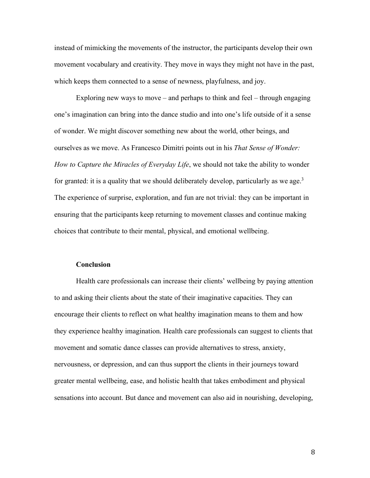instead of mimicking the movements of the instructor, the participants develop their own movement vocabulary and creativity. They move in ways they might not have in the past, which keeps them connected to a sense of newness, playfulness, and joy.

Exploring new ways to move – and perhaps to think and feel – through engaging one's imagination can bring into the dance studio and into one's life outside of it a sense of wonder. We might discover something new about the world, other beings, and ourselves as we move. As Francesco Dimitri points out in his *That Sense of Wonder: How to Capture the Miracles of Everyday Life*, we should not take the ability to wonder for granted: it is a quality that we should deliberately develop, particularly as we age.<sup>3</sup> The experience of surprise, exploration, and fun are not trivial: they can be important in ensuring that the participants keep returning to movement classes and continue making choices that contribute to their mental, physical, and emotional wellbeing.

#### **Conclusion**

Health care professionals can increase their clients' wellbeing by paying attention to and asking their clients about the state of their imaginative capacities. They can encourage their clients to reflect on what healthy imagination means to them and how they experience healthy imagination. Health care professionals can suggest to clients that movement and somatic dance classes can provide alternatives to stress, anxiety, nervousness, or depression, and can thus support the clients in their journeys toward greater mental wellbeing, ease, and holistic health that takes embodiment and physical sensations into account. But dance and movement can also aid in nourishing, developing,